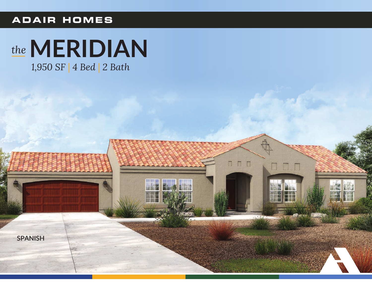## **ADAIR HOMES**



1,950 SF | 4 Bed | 2 Bath